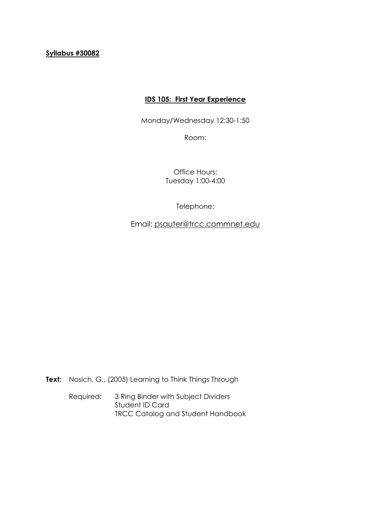# **Syllabus #30082**

# **IDS 105: First Year Experience**

Monday/Wednesday 12:30-1:50

Room:

Office Hours: Tuesday 1:00-4:00

Telephone:

Email: [psauter@trcc.commnet.edu](mailto:psauter@trcc.commnet.edu)

**Text:** Nosich, G., (2005) Learning to Think Things Through

Required: 3 Ring Binder with Subject Dividers Student ID Card TRCC Catalog and Student Handbook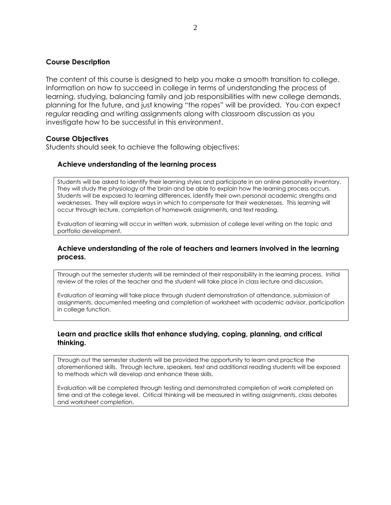### **Course Description**

The content of this course is designed to help you make a smooth transition to college. Information on how to succeed in college in terms of understanding the process of learning, studying, balancing family and job responsibilities with new college demands, planning for the future, and just knowing "the ropes" will be provided. You can expect regular reading and writing assignments along with classroom discussion as you investigate how to be successful in this environment.

### **Course Objectives**

Students should seek to achieve the following objectives:

### **Achieve understanding of the learning process**

Students will be asked to identify their learning styles and participate in an online personality inventory. They will study the physiology of the brain and be able to explain how the learning process occurs. Students will be exposed to learning differences, identify their own personal academic strengths and weaknesses. They will explore ways in which to compensate for their weaknesses. This learning will occur through lecture, completion of homework assignments, and text reading.

Evaluation of learning will occur in written work, submission of college level writing on the topic and portfolio development.

### **Achieve understanding of the role of teachers and learners involved in the learning process.**

Through out the semester students will be reminded of their responsibility in the learning process. Initial review of the roles of the teacher and the student will take place in class lecture and discussion.

Evaluation of learning will take place through student demonstration of attendance, submission of assignments, documented meeting and completion of worksheet with academic advisor, participation in college function.

### **Learn and practice skills that enhance studying, coping, planning, and critical thinking.**

Through out the semester students will be provided the opportunity to learn and practice the aforementioned skills. Through lecture, speakers, text and additional reading students will be exposed to methods which will develop and enhance these skills.

Evaluation will be completed through testing and demonstrated completion of work completed on time and at the college level. Critical thinking will be measured in writing assignments, class debates and worksheet completion.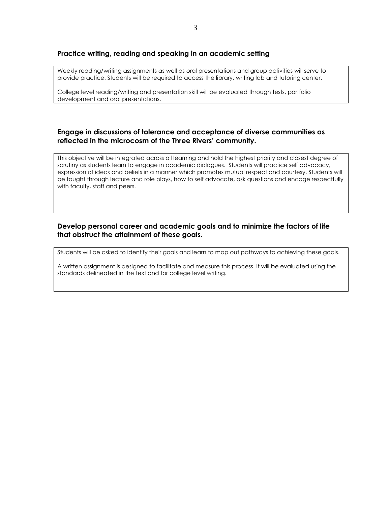#### **Practice writing, reading and speaking in an academic setting**

Weekly reading/writing assignments as well as oral presentations and group activities will serve to provide practice. Students will be required to access the library, writing lab and tutoring center.

College level reading/writing and presentation skill will be evaluated through tests, portfolio development and oral presentations.

#### **Engage in discussions of tolerance and acceptance of diverse communities as reflected in the microcosm of the Three Rivers' community.**

This objective will be integrated across all learning and hold the highest priority and closest degree of scrutiny as students learn to engage in academic dialogues. Students will practice self advocacy, expression of ideas and beliefs in a manner which promotes mutual respect and courtesy. Students will be taught through lecture and role plays, how to self advocate, ask questions and encage respectfully with faculty, staff and peers.

### **Develop personal career and academic goals and to minimize the factors of life that obstruct the attainment of these goals.**

Students will be asked to identify their goals and learn to map out pathways to achieving these goals.

A written assignment is designed to facilitate and measure this process. It will be evaluated using the standards delineated in the text and for college level writing.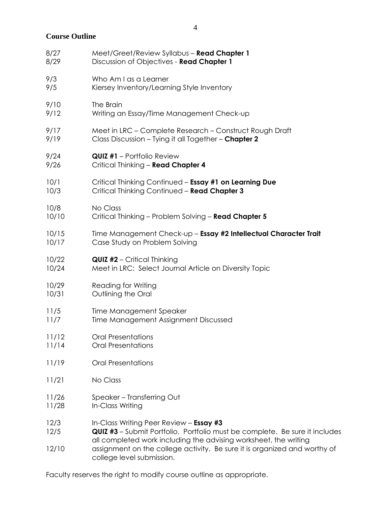**Course Outline**

| 8/27         | Meet/Greet/Review Syllabus - Read Chapter 1                                                                                                                                                |  |  |
|--------------|--------------------------------------------------------------------------------------------------------------------------------------------------------------------------------------------|--|--|
| 8/29         | Discussion of Objectives - Read Chapter 1                                                                                                                                                  |  |  |
| 9/3          | Who Am I as a Learner                                                                                                                                                                      |  |  |
| 9/5          | Kiersey Inventory/Learning Style Inventory                                                                                                                                                 |  |  |
| 9/10         | The Brain                                                                                                                                                                                  |  |  |
| 9/12         | Writing an Essay/Time Management Check-up                                                                                                                                                  |  |  |
| 9/17         | Meet in LRC - Complete Research - Construct Rough Draft                                                                                                                                    |  |  |
| 9/19         | Class Discussion - Tying it all Together - Chapter 2                                                                                                                                       |  |  |
| 9/24         | <b>QUIZ #1</b> - Portfolio Review                                                                                                                                                          |  |  |
| 9/26         | Critical Thinking - Read Chapter 4                                                                                                                                                         |  |  |
| 10/1         | Critical Thinking Continued - Essay #1 on Learning Due                                                                                                                                     |  |  |
| 10/3         | Critical Thinking Continued - Read Chapter 3                                                                                                                                               |  |  |
| 10/8         | No Class                                                                                                                                                                                   |  |  |
| 10/10        | Critical Thinking - Problem Solving - Read Chapter 5                                                                                                                                       |  |  |
| 10/15        | Time Management Check-up - Essay #2 Intellectual Character Trait                                                                                                                           |  |  |
| 10/17        | Case Study on Problem Solving                                                                                                                                                              |  |  |
| 10/22        | <b>QUIZ #2</b> - Critical Thinking                                                                                                                                                         |  |  |
| 10/24        | Meet in LRC: Select Journal Article on Diversity Topic                                                                                                                                     |  |  |
| 10/29        | <b>Reading for Writing</b>                                                                                                                                                                 |  |  |
| 10/31        | Outlining the Oral                                                                                                                                                                         |  |  |
| 11/5         | Time Management Speaker                                                                                                                                                                    |  |  |
| 11/7         | Time Management Assignment Discussed                                                                                                                                                       |  |  |
| 11/12        | <b>Oral Presentations</b>                                                                                                                                                                  |  |  |
| 11/14        | <b>Oral Presentations</b>                                                                                                                                                                  |  |  |
| 11/19        | <b>Oral Presentations</b>                                                                                                                                                                  |  |  |
| 11/21        | No Class                                                                                                                                                                                   |  |  |
| 11/26        | Speaker - Transferring Out                                                                                                                                                                 |  |  |
| 11/28        | In-Class Writing                                                                                                                                                                           |  |  |
| 12/3<br>12/5 | In-Class Writing Peer Review - Essay #3<br>QUIZ #3 - Submit Portfolio. Portfolio must be complete. Be sure it includes<br>all completed work including the advising worksheet, the writing |  |  |
| 12/10        | assignment on the college activity. Be sure it is organized and worthy of<br>college level submission.                                                                                     |  |  |

Faculty reserves the right to modify course outline as appropriate.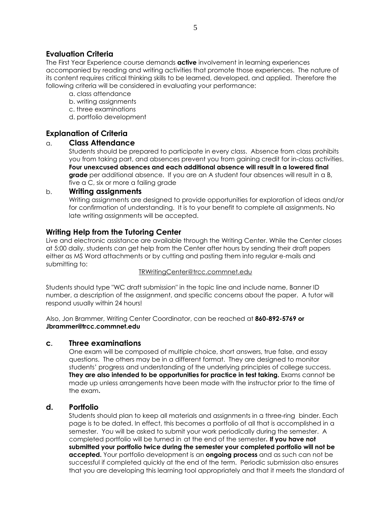# **Evaluation Criteria**

The First Year Experience course demands **active** involvement in learning experiences accompanied by reading and writing activities that promote those experiences. The nature of its content requires critical thinking skills to be learned, developed, and applied. Therefore the following criteria will be considered in evaluating your performance:

- a. class attendance
- b. writing assignments
- c. three examinations
- d. portfolio development

# **Explanation of Criteria**

## a. **Class Attendance**

Students should be prepared to participate in every class. Absence from class prohibits you from taking part, and absences prevent you from gaining credit for in-class activities. **Four unexcused absences and each additional absence will result in a lowered final grade** per additional absence. If you are an A student four absences will result in a B, five a C, six or more a failing grade

### b. **Writing assignments**

Writing assignments are designed to provide opportunities for exploration of ideas and/or for confirmation of understanding. It is to your benefit to complete all assignments. No late writing assignments will be accepted.

# **Writing Help from the Tutoring Center**

Live and electronic assistance are available through the Writing Center. While the Center closes at 5:00 daily, students can get help from the Center after hours by sending their draft papers either as MS Word attachments or by cutting and pasting them into regular e-mails and submitting to:

#### TRWritingCenter@trcc.commnet.edu

Students should type "WC draft submission" in the topic line and include name, Banner ID number, a description of the assignment, and specific concerns about the paper. A tutor will respond usually within 24 hours!

Also, Jon Brammer, Writing Center Coordinator, can be reached at **860-892-5769 or Jbrammer@trcc.commnet.edu**

## **c. Three examinations**

One exam will be composed of multiple choice, short answers, true false, and essay questions. The others may be in a different format. They are designed to monitor students' progress and understanding of the underlying principles of college success. **They are also intended to be opportunities for practice in test taking.** Exams cannot be made up unless arrangements have been made with the instructor prior to the time of the exam.

# **d. Portfolio**

Students should plan to keep all materials and assignments in a three-ring binder. Each page is to be dated. In effect, this becomes a portfolio of all that is accomplished in a semester. You will be asked to submit your work periodically during the semester. A completed portfolio will be turned in at the end of the semester. **If you have not submitted your portfolio twice during the semester your completed portfolio will not be accepted.** Your portfolio development is an **ongoing process** and as such can not be successful if completed quickly at the end of the term. Periodic submission also ensures that you are developing this learning tool appropriately and that it meets the standard of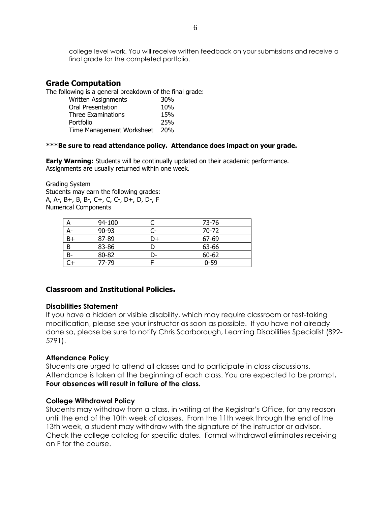college level work. You will receive written feedback on your submissions and receive a final grade for the completed portfolio.

## **Grade Computation**

The following is a general breakdown of the final grade:

| Written Assignments       | 30 <sub>%</sub> |
|---------------------------|-----------------|
| Oral Presentation         | 10%             |
| Three Examinations        | 15%             |
| Portfolio                 | 25%             |
| Time Management Worksheet | <b>20%</b>      |

#### **\*\*\*Be sure to read attendance policy. Attendance does impact on your grade.**

**Early Warning:** Students will be continually updated on their academic performance. Assignments are usually returned within one week.

Grading System Students may earn the following grades: A, A-, B+, B, B-, C+, C, C-, D+, D, D-, F Numerical Components

| A    | 94-100 |      | 73-76    |
|------|--------|------|----------|
| A-   | 90-93  | $C-$ | 70-72    |
| $B+$ | 87-89  | D+   | 67-69    |
| B    | 83-86  |      | 63-66    |
| $B-$ | 80-82  | D-   | 60-62    |
|      | 77-79  |      | $0 - 59$ |

## **Classroom and Institutional Policies.**

#### **Disabilities Statement**

If you have a hidden or visible disability, which may require classroom or test-taking modification, please see your instructor as soon as possible. If you have not already done so, please be sure to notify Chris Scarborough, Learning Disabilities Specialist (892- 5791).

#### **Attendance Policy**

Students are urged to attend all classes and to participate in class discussions. Attendance is taken at the beginning of each class. You are expected to be prompt**. Four absences will result in failure of the class.**

#### **College Withdrawal Policy**

Students may withdraw from a class, in writing at the Registrar's Office, for any reason until the end of the 10th week of classes. From the 11th week through the end of the 13th week, a student may withdraw with the signature of the instructor or advisor. Check the college catalog for specific dates. Formal withdrawal eliminates receiving an F for the course.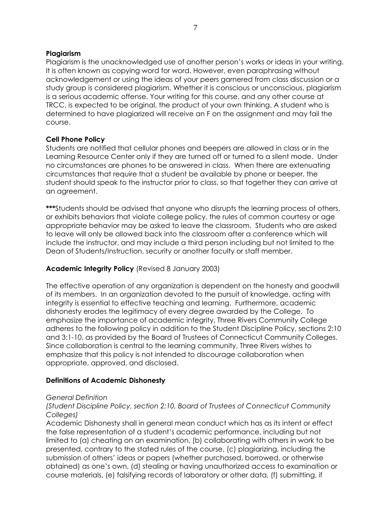# **Plagiarism**

Plagiarism is the unacknowledged use of another person's works or ideas in your writing. It is often known as copying word for word. However, even paraphrasing without acknowledgement or using the ideas of your peers garnered from class discussion or a study group is considered plagiarism. Whether it is conscious or unconscious, plagiarism is a serious academic offense. Your writing for this course, and any other course at TRCC, is expected to be original, the product of your own thinking. A student who is determined to have plagiarized will receive an F on the assignment and may fail the course.

# **Cell Phone Policy**

Students are notified that cellular phones and beepers are allowed in class or in the Learning Resource Center only if they are turned off or turned to a silent mode. Under no circumstances are phones to be answered in class. When there are extenuating circumstances that require that a student be available by phone or beeper, the student should speak to the instructor prior to class, so that together they can arrive at an agreement.

**\*\*\***Students should be advised that anyone who disrupts the learning process of others, or exhibits behaviors that violate college policy, the rules of common courtesy or age appropriate behavior may be asked to leave the classroom. Students who are asked to leave will only be allowed back into the classroom after a conference which will include the instructor, and may include a third person including but not limited to the Dean of Students/Instruction, security or another faculty or staff member.

# **Academic Integrity Policy** (Revised 8 January 2003)

The effective operation of any organization is dependent on the honesty and goodwill of its members. In an organization devoted to the pursuit of knowledge, acting with integrity is essential to effective teaching and learning. Furthermore, academic dishonesty erodes the legitimacy of every degree awarded by the College. To emphasize the importance of academic integrity, Three Rivers Community College adheres to the following policy in addition to the Student Discipline Policy, sections 2:10 and 3:1-10, as provided by the Board of Trustees of Connecticut Community Colleges. Since collaboration is central to the learning community, Three Rivers wishes to emphasize that this policy is not intended to discourage collaboration when appropriate, approved, and disclosed.

# **Definitions of Academic Dishonesty**

## *General Definition*

*(Student Discipline Policy, section 2:10, Board of Trustees of Connecticut Community Colleges)*

Academic Dishonesty shall in general mean conduct which has as its intent or effect the false representation of a student's academic performance, including but not limited to (a) cheating on an examination, (b) collaborating with others in work to be presented, contrary to the stated rules of the course, (c) plagiarizing, including the submission of others' ideas or papers (whether purchased, borrowed, or otherwise obtained) as one's own, (d) stealing or having unauthorized access to examination or course materials, (e) falsifying records of laboratory or other data, (f) submitting, if